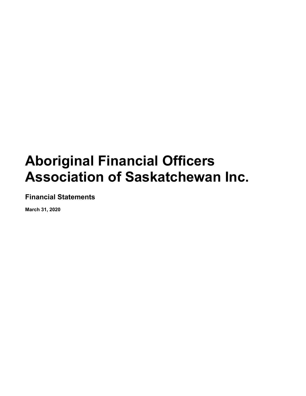**Financial Statements**

**March 31, 2020**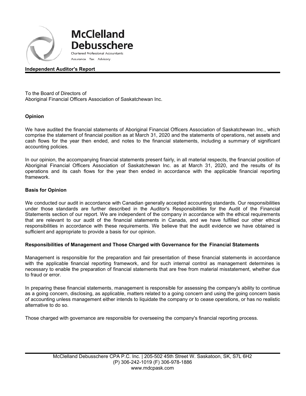

**McClelland Debusschere** Chartered Professional Accountants

Assurance Tax Advisory

# **Independent Auditor's Report**

To the Board of Directors of Aboriginal Financial Officers Association of Saskatchewan Inc.

# **Opinion**

We have audited the financial statements of Aboriginal Financial Officers Association of Saskatchewan Inc., which comprise the statement of financial position as at March 31, 2020 and the statements of operations, net assets and cash flows for the year then ended, and notes to the financial statements, including a summary of significant accounting policies.

In our opinion, the accompanying financial statements present fairly, in all material respects, the financial position of Aboriginal Financial Officers Association of Saskatchewan Inc. as at March 31, 2020, and the results of its operations and its cash flows for the year then ended in accordance with the applicable financial reporting framework.

#### **Basis for Opinion**

We conducted our audit in accordance with Canadian generally accepted accounting standards. Our responsibilities under those standards are further described in the Auditor's Responsibilities for the Audit of the Financial Statements section of our report. We are independent of the company in accordance with the ethical requirements that are relevant to our audit of the financial statements in Canada, and we have fulfilled our other ethical responsibilities in accordance with these requirements. We believe that the audit evidence we have obtained is sufficient and appropriate to provide a basis for our opinion.

# **Responsibilities of Management and Those Charged with Governance for the Financial Statements**

Management is responsible for the preparation and fair presentation of these financial statements in accordance with the applicable financial reporting framework, and for such internal control as management determines is necessary to enable the preparation of financial statements that are free from material misstatement, whether due to fraud or error.

In preparing these financial statements, management is responsible for assessing the company's ability to continue as a going concern, disclosing, as applicable, matters related to a going concern and using the going concern basis of accounting unless management either intends to liquidate the company or to cease operations, or has no realistic alternative to do so.

Those charged with governance are responsible for overseeing the company's financial reporting process.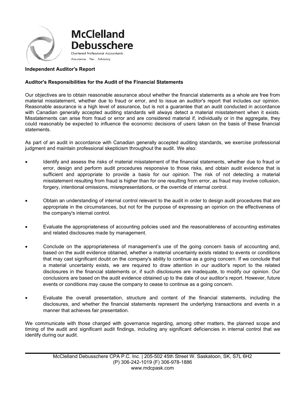

### **Independent Auditor's Report**

### **Auditor's Responsibilities for the Audit of the Financial Statements**

Our objectives are to obtain reasonable assurance about whether the financial statements as a whole are free from material misstatement, whether due to fraud or error, and to issue an auditor's report that includes our opinion. Reasonable assurance is a high level of assurance, but is not a guarantee that an audit conducted in accordance with Canadian generally accepted auditing standards will always detect a material misstatement when it exists. Misstatements can arise from fraud or error and are considered material if, individually or in the aggregate, they could reasonably be expected to influence the economic decisions of users taken on the basis of these financial statements.

As part of an audit in accordance with Canadian generally accepted auditing standards, we exercise professional judgment and maintain professional skepticism throughout the audit. We also:

- Identify and assess the risks of material misstatement of the financial statements, whether due to fraud or error, design and perform audit procedures responsive to those risks, and obtain audit evidence that is sufficient and appropriate to provide a basis for our opinion. The risk of not detecting a material misstatement resulting from fraud is higher than for one resulting from error, as fraud may involve collusion, forgery, intentional omissions, misrepresentations, or the override of internal control.
- Obtain an understanding of internal control relevant to the audit in order to design audit procedures that are appropriate in the circumstances, but not for the purpose of expressing an opinion on the effectiveness of the company's internal control.
- Evaluate the appropriateness of accounting policies used and the reasonableness of accounting estimates and related disclosures made by management.
- Conclude on the appropriateness of management's use of the going concern basis of accounting and, based on the audit evidence obtained, whether a material uncertainty exists related to events or conditions that may cast significant doubt on the company's ability to continue as a going concern. If we conclude that a material uncertainty exists, we are required to draw attention in our auditor's report to the related disclosures in the financial statements or, if such disclosures are inadequate, to modify our opinion. Our conclusions are based on the audit evidence obtained up to the date of our auditor's report. However, future events or conditions may cause the company to cease to continue as a going concern.
- Evaluate the overall presentation, structure and content of the financial statements, including the disclosures, and whether the financial statements represent the underlying transactions and events in a manner that achieves fair presentation.

We communicate with those charged with governance regarding, among other matters, the planned scope and timing of the audit and significant audit findings, including any significant deficiencies in internal control that we identify during our audit.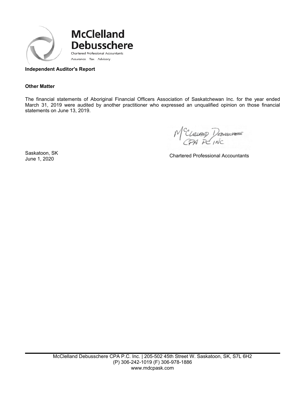

# **Independent Auditor's Report**

#### **Other Matter**

The financial statements of Aboriginal Financial Officers Association of Saskatchewan Inc. for the year ended March 31, 2019 were audited by another practitioner who expressed an unqualified opinion on those financial statements on June 13, 2019.

M<sup>C</sup>CLELIAND DEDUSCHERE

Saskatoon, SK

Saskatoon, SK<br>June 1, 2020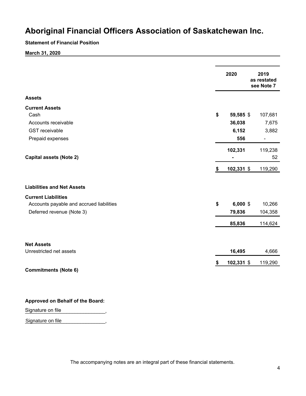### **Statement of Financial Position**

**March 31, 2020**

|                                          | 2020             | 2019<br>as restated<br>see Note 7 |
|------------------------------------------|------------------|-----------------------------------|
| <b>Assets</b>                            |                  |                                   |
| <b>Current Assets</b>                    |                  |                                   |
| Cash                                     | \$<br>59,585 \$  | 107,681                           |
| Accounts receivable                      | 36,038           | 7,675                             |
| <b>GST</b> receivable                    | 6,152            | 3,882                             |
| Prepaid expenses                         | 556              | $\overline{a}$                    |
|                                          | 102,331          | 119,238                           |
| <b>Capital assets (Note 2)</b>           |                  | 52                                |
|                                          | \$<br>102,331 \$ | 119,290                           |
| <b>Liabilities and Net Assets</b>        |                  |                                   |
| <b>Current Liabilities</b>               |                  |                                   |
| Accounts payable and accrued liabilities | \$<br>$6,000$ \$ | 10,266                            |
| Deferred revenue (Note 3)                | 79,836           | 104,358                           |
|                                          | 85,836           | 114,624                           |
|                                          |                  |                                   |
| <b>Net Assets</b>                        |                  |                                   |
| Unrestricted net assets                  | 16,495           | 4,666                             |
|                                          | \$<br>102,331 \$ | 119,290                           |
| <b>Commitments (Note 6)</b>              |                  |                                   |

#### **Approved on Behalf of the Board:**

 $\overline{\phantom{a}}$  ,  $\overline{\phantom{a}}$  ,  $\overline{\phantom{a}}$  ,  $\overline{\phantom{a}}$  ,  $\overline{\phantom{a}}$  ,  $\overline{\phantom{a}}$  ,  $\overline{\phantom{a}}$  ,  $\overline{\phantom{a}}$  ,  $\overline{\phantom{a}}$  ,  $\overline{\phantom{a}}$  ,  $\overline{\phantom{a}}$  ,  $\overline{\phantom{a}}$  ,  $\overline{\phantom{a}}$  ,  $\overline{\phantom{a}}$  ,  $\overline{\phantom{a}}$  ,  $\overline{\phantom{a}}$ Signature on file

Signature on file<br>
your contract to the state of the state of the state of the state of the state of the state of the state of the state of the state of the state of the state of the state of the state of the state of the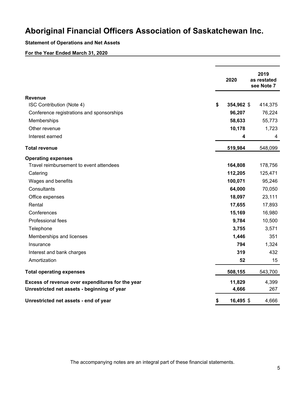# **Statement of Operations and Net Assets**

# **For the Year Ended March 31, 2020**

|                                                  | 2020             | 2019<br>as restated<br>see Note 7 |
|--------------------------------------------------|------------------|-----------------------------------|
| <b>Revenue</b>                                   |                  |                                   |
| ISC Contribution (Note 4)                        | \$<br>354,962 \$ | 414,375                           |
| Conference registrations and sponsorships        | 96,207           | 76,224                            |
| Memberships                                      | 58,633           | 55,773                            |
| Other revenue                                    | 10,178           | 1,723                             |
| Interest earned                                  | 4                | 4                                 |
| <b>Total revenue</b>                             | 519,984          | 548,099                           |
| <b>Operating expenses</b>                        |                  |                                   |
| Travel reimbursement to event attendees          | 164,808          | 178,756                           |
| Catering                                         | 112,205          | 125,471                           |
| Wages and benefits                               | 100,071          | 95,246                            |
| Consultants                                      | 64,000           | 70,050                            |
| Office expenses                                  | 18,097           | 23,111                            |
| Rental                                           | 17,655           | 17,893                            |
| Conferences                                      | 15,169           | 16,980                            |
| Professional fees                                | 9,784            | 10,500                            |
| Telephone                                        | 3,755            | 3,571                             |
| Memberships and licenses                         | 1,446            | 351                               |
| Insurance                                        | 794              | 1,324                             |
| Interest and bank charges                        | 319              | 432                               |
| Amortization                                     | 52               | 15                                |
| <b>Total operating expenses</b>                  | 508,155          | 543,700                           |
| Excess of revenue over expenditures for the year | 11,829           | 4,399                             |
| Unrestricted net assets - beginning of year      | 4,666            | 267                               |
| Unrestricted net assets - end of year            | \$<br>16,495 \$  | 4,666                             |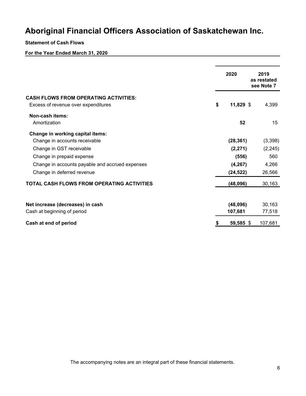### **Statement of Cash Flows**

# **For the Year Ended March 31, 2020**

|                                                 |    | 2020        | 2019<br>as restated<br>see Note 7 |  |  |  |  |
|-------------------------------------------------|----|-------------|-----------------------------------|--|--|--|--|
| <b>CASH FLOWS FROM OPERATING ACTIVITIES:</b>    |    |             |                                   |  |  |  |  |
| Excess of revenue over expenditures             | \$ | $11,829$ \$ | 4,399                             |  |  |  |  |
| Non-cash items:                                 |    |             |                                   |  |  |  |  |
| Amortization                                    |    | 52          | 15                                |  |  |  |  |
| Change in working capital items:                |    |             |                                   |  |  |  |  |
| Change in accounts receivable                   |    | (28, 361)   | (3,398)                           |  |  |  |  |
| Change in GST receivable                        |    | (2, 271)    | (2, 245)                          |  |  |  |  |
| Change in prepaid expense                       |    | (556)       | 560                               |  |  |  |  |
| Change in accounts payable and accrued expenses |    | (4, 267)    | 4,266                             |  |  |  |  |
| Change in deferred revenue                      |    | (24, 522)   | 26,566                            |  |  |  |  |
| TOTAL CASH FLOWS FROM OPERATING ACTIVITIES      |    | (48,096)    | 30,163                            |  |  |  |  |
| Net increase (decreases) in cash                |    | (48,096)    | 30,163                            |  |  |  |  |
| Cash at beginning of period                     |    | 107,681     | 77,518                            |  |  |  |  |
| Cash at end of period                           | S  | 59,585 \$   | 107,681                           |  |  |  |  |

The accompanying notes are an integral part of these financial statements.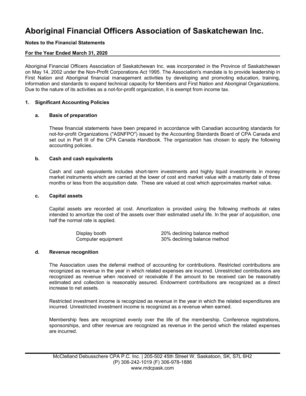# **Notes to the Financial Statements**

# **For the Year Ended March 31, 2020**

Aboriginal Financial Officers Association of Saskatchewan Inc. was incorporated in the Province of Saskatchewan on May 14, 2002 under the Non-Profit Corporations Act 1995. The Association's mandate is to provide leadership in First Nation and Aboriginal financial management activities by developing and promoting education, training, information and standards to expand technical capacity for Members and First Nation and Aboriginal Organizations. Due to the nature of its activities as a not-for-profit organization, it is exempt from income tax.

#### **1. Significant Accounting Policies**

#### **a. Basis of preparation**

These financial statements have been prepared in accordance with Canadian accounting standards for not-for-profit Organizations ("ASNFPO") issued by the Accounting Standards Board of CPA Canada and set out in Part III of the CPA Canada Handbook. The organization has chosen to apply the following accounting policies.

#### **b. Cash and cash equivalents**

Cash and cash equivalents includes short-term investments and highly liquid investments in money market instruments which are carried at the lower of cost and market value with a maturity date of three months or less from the acquisition date. These are valued at cost which approximates market value.

#### **c. Capital assets**

Capital assets are recorded at cost. Amortization is provided using the following methods at rates intended to amortize the cost of the assets over their estimated useful life. In the year of acquisition, one half the normal rate is applied.

| Display booth      | 20% declining balance method |
|--------------------|------------------------------|
| Computer equipment | 30% declining balance method |

#### **d. Revenue recognition**

The Association uses the deferral method of accounting for contributions. Restricted contributions are recognized as revenue in the year in which related expenses are incurred. Unrestricted contributions are recognized as revenue when received or receivable if the amount to be received can be reasonably estimated and collection is reasonably assured. Endowment contributions are recognized as a direct increase to net assets.

Restricted investment income is recognized as revenue in the year in which the related expenditures are incurred. Unrestricted investment income is recognized as a revenue when earned.

Membership fees are recognized evenly over the life of the membership. Conference registrations, sponsorships, and other revenue are recognized as revenue in the period which the related expenses are incurred.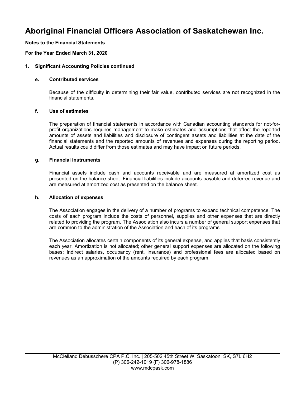# **Notes to the Financial Statements**

# **For the Year Ended March 31, 2020**

#### **1. Significant Accounting Policies continued**

#### **e. Contributed services**

Because of the difficulty in determining their fair value, contributed services are not recognized in the financial statements.

#### **f. Use of estimates**

The preparation of financial statements in accordance with Canadian accounting standards for not-forprofit organizations requires management to make estimates and assumptions that affect the reported amounts of assets and liabilities and disclosure of contingent assets and liabilities at the date of the financial statements and the reported amounts of revenues and expenses during the reporting period. Actual results could differ from those estimates and may have impact on future periods.

#### **g. Financial instruments**

Financial assets include cash and accounts receivable and are measured at amortized cost as presented on the balance sheet. Financial liabilities include accounts payable and deferred revenue and are measured at amortized cost as presented on the balance sheet.

#### **h. Allocation of expenses**

The Association engages in the delivery of a number of programs to expand technical competence. The costs of each program include the costs of personnel, supplies and other expenses that are directly related to providing the program. The Association also incurs a number of general support expenses that are common to the administration of the Association and each of its programs.

The Association allocates certain components of its general expense, and applies that basis consistently each year. Amortization is not allocated; other general support expenses are allocated on the following bases: Indirect salaries, occupancy (rent, insurance) and professional fees are allocated based on revenues as an approximation of the amounts required by each program.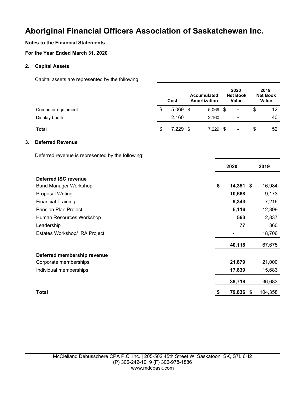# **Notes to the Financial Statements**

# **For the Year Ended March 31, 2020**

# **2. Capital Assets**

Capital assets are represented by the following:

|    |                                                   |               | Cost       | <b>Accumulated</b><br>Amortization | 2020<br><b>Net Book</b><br><b>Value</b> | 2019<br><b>Net Book</b><br><b>Value</b> |
|----|---------------------------------------------------|---------------|------------|------------------------------------|-----------------------------------------|-----------------------------------------|
|    | Computer equipment                                | \$            | $5,069$ \$ | $5,069$ \$                         | $\blacksquare$                          | \$<br>12                                |
|    | Display booth                                     |               | 2,160      | 2,160                              | -                                       | 40                                      |
|    | <b>Total</b>                                      | $\sqrt[6]{2}$ | 7,229 \$   | 7,229 \$                           | $\blacksquare$                          | \$<br>52                                |
| 3. | <b>Deferred Revenue</b>                           |               |            |                                    |                                         |                                         |
|    | Deferred revenue is represented by the following: |               |            |                                    |                                         |                                         |
|    |                                                   |               |            |                                    | 2020                                    | 2019                                    |
|    | <b>Deferred ISC revenue</b>                       |               |            |                                    |                                         |                                         |
|    | <b>Band Manager Workshop</b>                      |               |            | \$                                 | $14,351$ \$                             | 16,984                                  |
|    | <b>Proposal Writing</b>                           |               |            |                                    | 10,668                                  | 9,173                                   |
|    | <b>Financial Training</b>                         |               |            |                                    | 9,343                                   | 7,216                                   |
|    | Pension Plan Project                              |               |            |                                    | 5,116                                   | 12,399                                  |
|    | Human Resources Workshop                          |               |            |                                    | 563                                     | 2,837                                   |
|    | Leadership                                        |               |            |                                    | 77                                      | 360                                     |
|    | Estates Workshop/ IRA Project                     |               |            |                                    |                                         | 18,706                                  |
|    |                                                   |               |            |                                    | 40,118                                  | 67,675                                  |
|    | Deferred membership revenue                       |               |            |                                    |                                         |                                         |
|    | Corporate memberships                             |               |            |                                    | 21,879                                  | 21,000                                  |
|    | Individual memberships                            |               |            |                                    | 17,839                                  | 15,683                                  |
|    |                                                   |               |            |                                    | 39,718                                  | 36,683                                  |
|    | <b>Total</b>                                      |               |            | \$                                 | 79,836 \$                               | 104,358                                 |
|    |                                                   |               |            |                                    |                                         |                                         |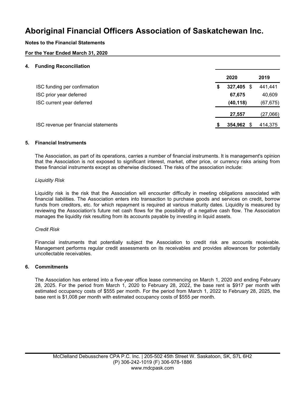# **Notes to the Financial Statements**

# **For the Year Ended March 31, 2020**

#### **4. Funding Reconciliation**

|                                      |   | 2020          | 2019      |
|--------------------------------------|---|---------------|-----------|
| ISC funding per confirmation         | S | 327,405 \$    | 441,441   |
| ISC prior year deferred              |   | 67,675        | 40,609    |
| ISC current year deferred            |   | (40, 118)     | (67, 675) |
|                                      |   | 27,557        | (27,066)  |
| ISC revenue per financial statements |   | 354,962<br>-S | 414,375   |
|                                      |   |               |           |

# **5. Financial Instruments**

The Association, as part of its operations, carries a number of financial instruments. It is management's opinion that the Association is not exposed to significant interest, market, other price, or currency risks arising from these financial instruments except as otherwise disclosed. The risks of the association include:

#### *Liquidity Risk*

Liquidity risk is the risk that the Association will encounter difficulty in meeting obligations associated with financial liabilities. The Association enters into transaction to purchase goods and services on credit, borrow funds from creditors, etc. for which repayment is required at various maturity dates. Liquidity is measured by reviewing the Association's future net cash flows for the possibility of a negative cash flow. The Association manages the liquidity risk resulting from its accounts payable by investing in liquid assets.

#### *Credit Risk*

Financial instruments that potentially subject the Association to credit risk are accounts receivable. Management performs regular credit assessments on its receivables and provides allowances for potentially uncollectable receivables.

#### **6. Commitments**

The Association has entered into a five-year office lease commencing on March 1, 2020 and ending February 28, 2025. For the period from March 1, 2020 to February 28, 2022, the base rent is \$917 per month with estimated occupancy costs of \$555 per month. For the period from March 1, 2022 to February 28, 2025, the base rent is \$1,008 per month with estimated occupancy costs of \$555 per month.